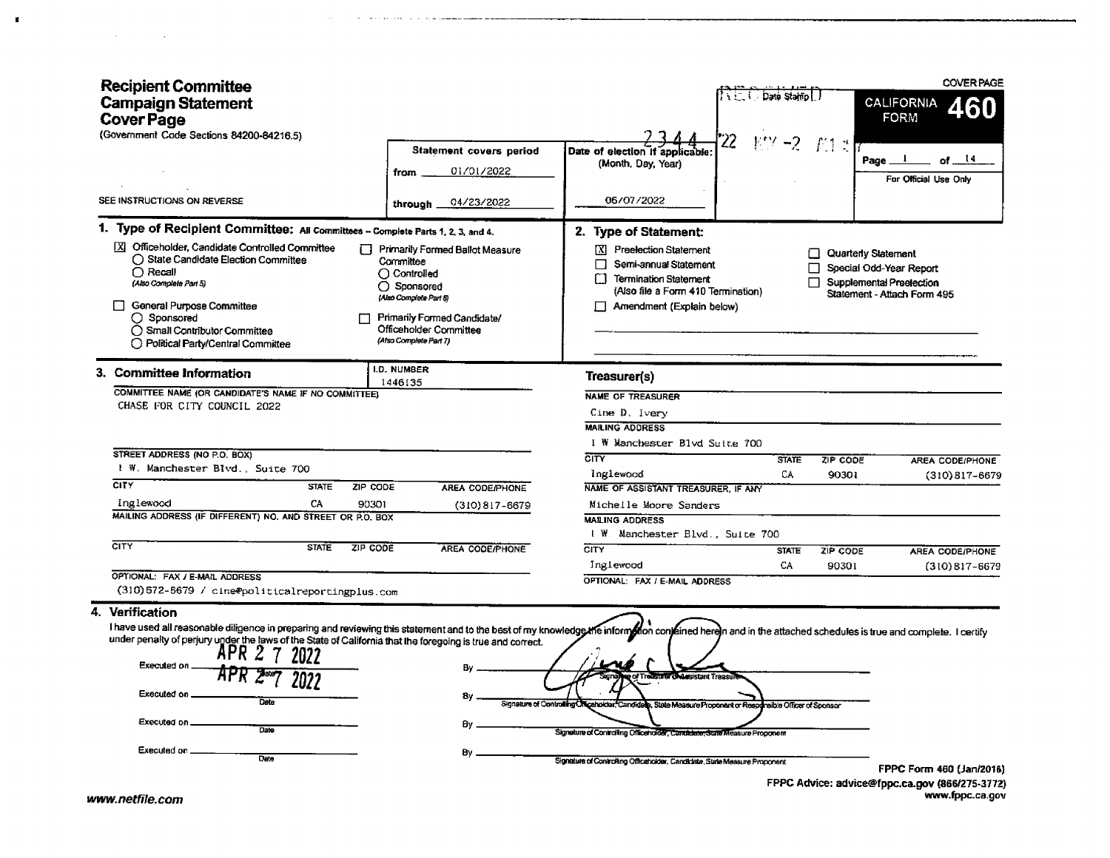| <b>Recipient Committee</b><br><b>Campaign Statement</b><br><b>Cover Page</b><br>(Government Code Sections 84200-84216.5)                                                                                                                                                                                                                                                                                            |                                                                                                                                                                                                  |                                                                                                                                                                                                                                      | Date Stain I                                                 |                                                                                           | <b>COVER PAGE</b><br><b>CALIFORNIA</b><br><b>FORM</b> |
|---------------------------------------------------------------------------------------------------------------------------------------------------------------------------------------------------------------------------------------------------------------------------------------------------------------------------------------------------------------------------------------------------------------------|--------------------------------------------------------------------------------------------------------------------------------------------------------------------------------------------------|--------------------------------------------------------------------------------------------------------------------------------------------------------------------------------------------------------------------------------------|--------------------------------------------------------------|-------------------------------------------------------------------------------------------|-------------------------------------------------------|
|                                                                                                                                                                                                                                                                                                                                                                                                                     | Statement covers period                                                                                                                                                                          | Date of election if applicable                                                                                                                                                                                                       |                                                              |                                                                                           |                                                       |
|                                                                                                                                                                                                                                                                                                                                                                                                                     | 01/01/2022<br>from                                                                                                                                                                               | (Month, Day, Year)                                                                                                                                                                                                                   |                                                              | Page_                                                                                     | -14<br>пf                                             |
|                                                                                                                                                                                                                                                                                                                                                                                                                     |                                                                                                                                                                                                  |                                                                                                                                                                                                                                      |                                                              |                                                                                           | For Official Use Only                                 |
| SEE INSTRUCTIONS ON REVERSE                                                                                                                                                                                                                                                                                                                                                                                         | 04/23/2022<br>through                                                                                                                                                                            | 06/07/2022                                                                                                                                                                                                                           |                                                              |                                                                                           |                                                       |
| 1. Type of Recipient Committee: All Committees - Complete Parts 1, 2, 3, and 4.                                                                                                                                                                                                                                                                                                                                     |                                                                                                                                                                                                  | 2. Type of Statement:                                                                                                                                                                                                                |                                                              |                                                                                           |                                                       |
| X Officeholder, Candidate Controlled Committee<br>◯ State Candidate Election Committee<br>$\bigcap$ Recall<br>(Also Complete Part 5)<br>General Purpose Committee<br>○ Sponsored<br>◯ Small Contributor Committee<br>◯ Political Party/Central Committee                                                                                                                                                            | Primarily Formed Ballot Measure<br>Committee<br>$\bigcirc$ Controlled<br>◯ Sponsored<br>(Also Compete Part 5)<br>Primarily Formed Candidate/<br>Officeholder Committee<br>(Also Complete Part 7) | [X] Preelection Statement<br>Semi-annual Statement<br>П<br>O<br>Termination Statement<br>(Also file a Form 410 Termination)<br>Amendment (Explain below)                                                                             |                                                              | Quarterly Statement<br>□<br>Special Odd-Year Report<br>П<br>П<br>Supplemental Preelection | Statement - Attach Form 495                           |
| 3. Committee Information                                                                                                                                                                                                                                                                                                                                                                                            | I.D. NUMBER                                                                                                                                                                                      | Treasurer(s)                                                                                                                                                                                                                         |                                                              |                                                                                           |                                                       |
| COMMITTEE NAME (OR CANDIDATE'S NAME IF NO COMMITTEE).<br>CHASE FOR CITY COUNCIL 2022                                                                                                                                                                                                                                                                                                                                | 1446135                                                                                                                                                                                          | <b>NAME OF TREASURER</b><br>Cine D. Ivery<br><b>MAILING ADDRESS</b>                                                                                                                                                                  |                                                              |                                                                                           |                                                       |
| STREET ADDRESS (NO P.O. BOX)                                                                                                                                                                                                                                                                                                                                                                                        |                                                                                                                                                                                                  | 1 W Manchester Blvd Suite 700                                                                                                                                                                                                        |                                                              |                                                                                           |                                                       |
| I W. Manchester Blvd., Suite 700                                                                                                                                                                                                                                                                                                                                                                                    |                                                                                                                                                                                                  | $\overline{\text{c}}$ ity                                                                                                                                                                                                            | <b>STATE</b>                                                 | ZIP CODE                                                                                  | AREA CODE/PHONE                                       |
| CITY<br><b>STATE</b><br>ZIP CODE                                                                                                                                                                                                                                                                                                                                                                                    | <b>AREA CODE/PHONE</b>                                                                                                                                                                           | Inglewood<br>NAME OF ASSISTANT TREASURER. IF ANY                                                                                                                                                                                     | CA                                                           | 90301                                                                                     | $(310)817 - 6679$                                     |
| Inglewood<br>CA.<br>90301                                                                                                                                                                                                                                                                                                                                                                                           |                                                                                                                                                                                                  |                                                                                                                                                                                                                                      |                                                              |                                                                                           |                                                       |
| MAILING ADDRESS (IF DIFFERENT) NO. AND STREET OR P.O. BOX                                                                                                                                                                                                                                                                                                                                                           | $(310)817 - 6679$                                                                                                                                                                                | Michelle Moore Sanders<br><b>MAILING ADDRESS</b>                                                                                                                                                                                     |                                                              |                                                                                           |                                                       |
|                                                                                                                                                                                                                                                                                                                                                                                                                     |                                                                                                                                                                                                  | I W. Manchester Blvd., Suite 700                                                                                                                                                                                                     |                                                              |                                                                                           |                                                       |
| <b>CITY</b><br><b>STATE</b><br>ZIP CODE                                                                                                                                                                                                                                                                                                                                                                             | <b>AREA CODE/PHONE</b>                                                                                                                                                                           | CITY                                                                                                                                                                                                                                 | <b>STATE</b>                                                 | ZIP CODE                                                                                  | <b>AREA CODE/PHONE</b>                                |
|                                                                                                                                                                                                                                                                                                                                                                                                                     |                                                                                                                                                                                                  | Inglewood                                                                                                                                                                                                                            | CA                                                           | 90301                                                                                     | $(310)817 - 6679$                                     |
| OPTIONAL: FAX / E-MAIL ADDRESS                                                                                                                                                                                                                                                                                                                                                                                      |                                                                                                                                                                                                  | OPTIONAL: FAX / E-MAIL ADDRESS                                                                                                                                                                                                       |                                                              |                                                                                           |                                                       |
| (310) 672-6679 / cine@politicalreportingplus.com                                                                                                                                                                                                                                                                                                                                                                    |                                                                                                                                                                                                  |                                                                                                                                                                                                                                      |                                                              |                                                                                           |                                                       |
| 4. Verification                                                                                                                                                                                                                                                                                                                                                                                                     |                                                                                                                                                                                                  |                                                                                                                                                                                                                                      |                                                              |                                                                                           |                                                       |
| I have used all reasonable diligence in preparing and reviewing this statement and to the best of my knowledge the informethon contained herein and in the attached schedules is true and complete. I certify<br>under penalty of perjury under the laws of the State of California that the foregoing is true and correct.<br>Executed on<br>Executed on _<br>Date<br>Executed on _<br>Date<br>Executed on<br>Date | Đγ.<br>By                                                                                                                                                                                        | <b>Assistant Treasu</b><br>Signature of Controlling Officeholder, Candidat<br>Signature of Controlling Officeholder, Candidate, State Measure Proponent<br>Signature of Controlling Officeholder, Candidate, State Measure Proponent | e. State Measure Proponent or Responsible Officer of Sponsor |                                                                                           | FPPC Form 460 (Jan/2016)                              |
|                                                                                                                                                                                                                                                                                                                                                                                                                     |                                                                                                                                                                                                  |                                                                                                                                                                                                                                      |                                                              |                                                                                           | FPPC Advice: advice@fppc.ca.gov (866/275-3772)        |
| www.notfilo.com                                                                                                                                                                                                                                                                                                                                                                                                     |                                                                                                                                                                                                  |                                                                                                                                                                                                                                      |                                                              |                                                                                           | www.fppc.ca.gov                                       |

 $\alpha$  , and a set of the set of the set of the components

 $\mathbf{r}$ 

 $\mathcal{L}(\mathcal{A})$  and  $\mathcal{L}(\mathcal{A})$  and  $\mathcal{L}(\mathcal{A})$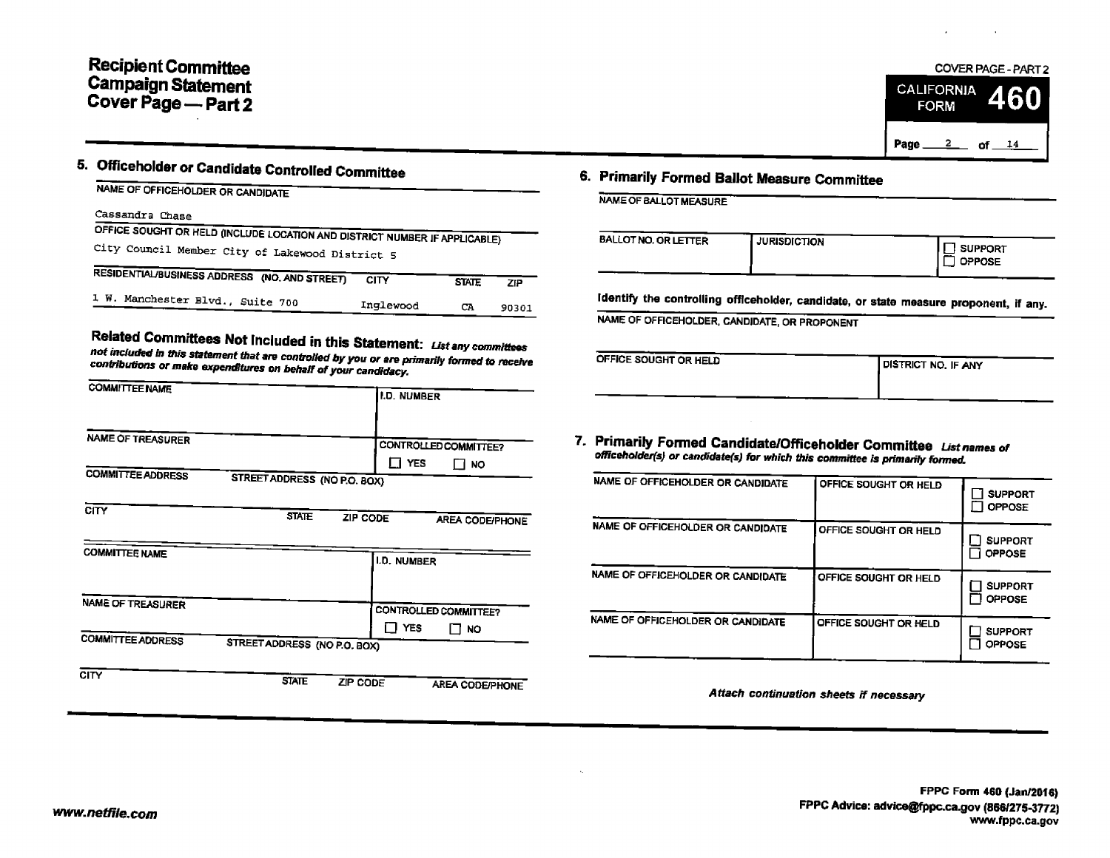

# 5, Officeholder or candidate Controlled Committee 6. Primarily Formed Ballot Measure Committee

|  | NAME OF OFFICEHOLDER OR CANDIDATE |
|--|-----------------------------------|
|  |                                   |

### Cassandra Chase

| OFFICE SOUGHT OR HELD (INCLUDE LOCATION AND DISTRICT NUMBER IF APPLICABLE)<br>City Council Member City of Lakewood District 5 |           |              |       | BALLOT NO. OR LETTER                        | <b>JURISDICTION</b> |
|-------------------------------------------------------------------------------------------------------------------------------|-----------|--------------|-------|---------------------------------------------|---------------------|
| RESIDENTIAL/BUSINESS ADDRESS (NO. AND STREET)                                                                                 | CITY      | <b>STATE</b> | ΖP    |                                             |                     |
| 1 W. Manchester Blvd., Suite 700                                                                                              | Inglewood | CA           | 90301 | Identify the controlling officeholder, cand |                     |

Related Committees Not Included in this Statement: List any committees<br>not included in this statement that are controlled by you or are primarily formed to receive<br>contributions or make expenditures on behalf of your candi

| <b>COMMITTEE NAME</b>                   |                                                          | I.D. NUMBER                                             |                                                                                                                                                     |                                            |                                     |
|-----------------------------------------|----------------------------------------------------------|---------------------------------------------------------|-----------------------------------------------------------------------------------------------------------------------------------------------------|--------------------------------------------|-------------------------------------|
| <b>NAME OF TREASURER</b>                |                                                          | <b>CONTROLLED COMMITTEE?</b><br>$\Box$ Yes<br>$\Box$ No | 7. Primarily Formed Candidate/Officeholder Committee List names of<br>officeholder(s) or candidate(s) for which this committee is primarily formed. |                                            |                                     |
| <b>COMMITTEE ADDRESS</b><br><b>CITY</b> | STREET ADDRESS (NO P.O. BOX)<br><b>STATE</b><br>ZIP CODE |                                                         | NAME OF OFFICEHOLDER OR CANDIDATE                                                                                                                   | OFFICE SOUGHT OR HELD                      | $\Box$ SUPPO<br>$\Box$ OPPOS        |
| <b>COMMITTEE NAME</b>                   |                                                          | AREA CODE/PHONE<br>I.D. NUMBER                          | NAME OF OFFICEHOLDER OR CANDIDATE                                                                                                                   | OFFICE SOUGHT OR HELD                      | _] SUPPOI<br>□ OPPOSE               |
| NAME OF TREASURER                       |                                                          | <b>CONTROLLED COMMITTEE?</b>                            | NAME OF OFFICEHOLDER OR CANDIDATE                                                                                                                   | OFFICE SOUGHT OR HELD                      | $\sqcap$ SUPPO!<br>$\square$ OPPOSI |
| <b>COMMITTEE ADDRESS</b>                | STREET ADDRESS (NO P.O. BOX)                             | Π YES<br>$\Box$ NO                                      | NAME OF OFFICEHOLDER OR CANDIDATE                                                                                                                   | OFFICE SOUGHT OR HELD                      | <b>SUPPOI</b><br><b>୮ ା</b> ଠPPOSI  |
| CITY                                    | <b>STATE</b><br>ZIP CODE                                 | AREA CODE/PHONE                                         |                                                                                                                                                     | Affach confinitation choose it cooperation |                                     |

| NAME OF BALLOT MEASURE      |                     |                          |
|-----------------------------|---------------------|--------------------------|
| <b>BALLOT NO. OR LETTER</b> | <b>JURISDICTION</b> | SUPPORT<br><b>OPPOSE</b> |

Identify the controlling officeholder, candidate, or state measure proponent, if any.

NAME OF OFFICEHOLDER, CANDIDATE, OR PROPONENT

| PFFICE SOUGHT OR HELD | I DISTRICT NO. IF ANY |
|-----------------------|-----------------------|
|                       |                       |

|                          |                                       |                                                                              |                                                                                                                                                  | <b>SUPPORT</b><br>$\Box$ Oppose |
|--------------------------|---------------------------------------|------------------------------------------------------------------------------|--------------------------------------------------------------------------------------------------------------------------------------------------|---------------------------------|
|                          |                                       |                                                                              | OFFICE SOUGHT OR HELD                                                                                                                            | <b>SUPPORT</b><br>OPPOSE        |
|                          |                                       |                                                                              | OFFICE SOUGHT OR HELD                                                                                                                            | <b>SUPPORT</b><br><b>OPPOSE</b> |
| -1<br>RESS (NO P.O. BOX) | п<br><b>NO</b>                        |                                                                              | OFFICE SOUGHT OR HELD                                                                                                                            | <b>SUPPORT</b><br><b>OPPOSE</b> |
|                          | RESS (NO P.O. BOX)<br><b>ZIP CODE</b> | AREA CODE/PHONE<br>I.D. NUMBER<br><b>CONTROLLED COMMITTEE?</b><br><b>YES</b> | NAME OF OFFICEHOLDER OR CANDIDATE<br>NAME OF OFFICEHOLDER OR CANDIDATE<br>NAME OF OFFICEHOLDER OR CANDIDATE<br>NAME OF OFFICEHOLDER OR CANDIDATE | OFFICE SOUGHT OR HELD           |

Attach continuation sheets if necessary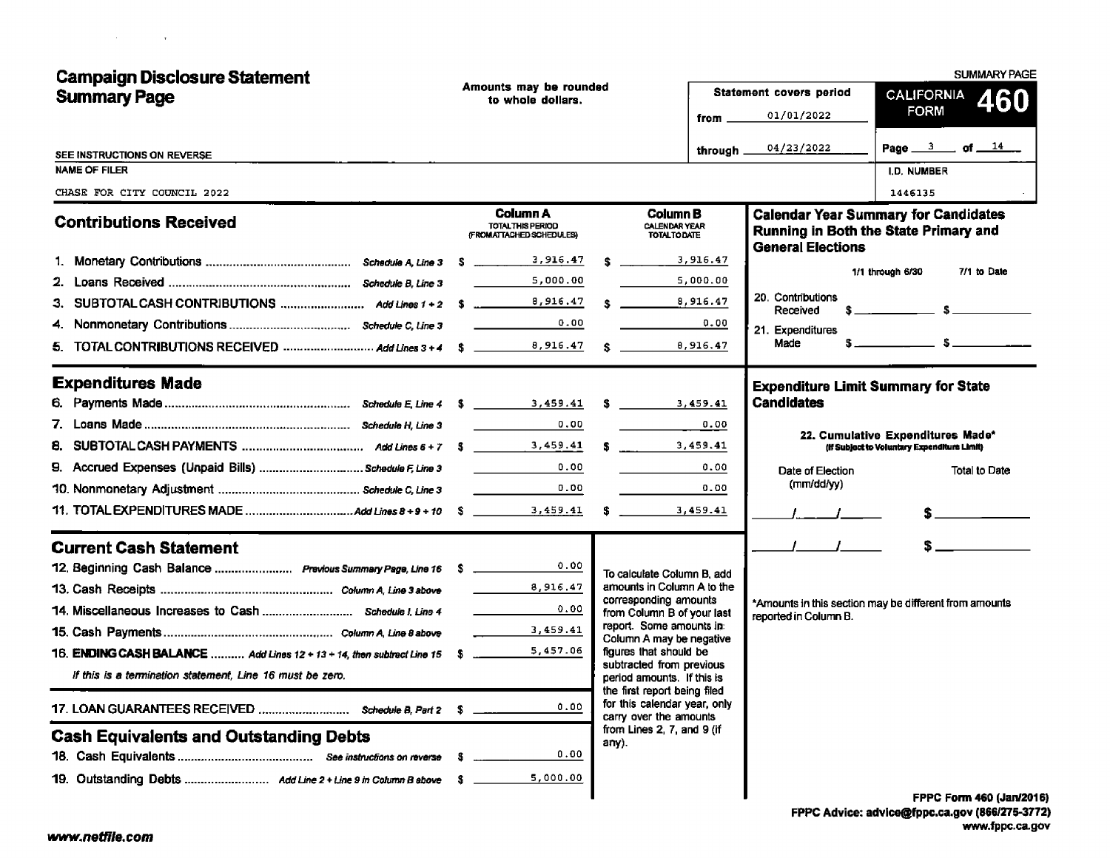| <b>Campaign Disclosure Statement</b>                          |      |                                                                   |  |                                                                                        |                  |                                            | <b>SUMMARY PAGE</b>                                                                  |
|---------------------------------------------------------------|------|-------------------------------------------------------------------|--|----------------------------------------------------------------------------------------|------------------|--------------------------------------------|--------------------------------------------------------------------------------------|
| <b>Summary Page</b>                                           |      | Amounts may be rounded<br>to whole dollars.                       |  |                                                                                        |                  | Statement covers period                    | CALIFORNIA 460                                                                       |
|                                                               |      |                                                                   |  |                                                                                        | from __          | 01/01/2022                                 | <b>FORM</b>                                                                          |
| SEE INSTRUCTIONS ON REVERSE                                   |      |                                                                   |  |                                                                                        | through $\equiv$ | 04/23/2022                                 | Page $3$ of $14$                                                                     |
| <b>NAME OF FILER</b>                                          |      |                                                                   |  |                                                                                        |                  |                                            | I.D. NUMBER                                                                          |
| CHASE FOR CITY COUNCIL 2022                                   |      |                                                                   |  |                                                                                        |                  |                                            | 1446135                                                                              |
| <b>Contributions Received</b>                                 |      | Column A<br>TOTAL THIS PERIOD<br>(FROMATTACHED SCHEDULES)         |  | <b>Column B</b><br><b>CALENDAR YEAR</b><br><b>TOTALTODATE</b>                          |                  | <b>General Elections</b>                   | <b>Calendar Year Summary for Candidates</b><br>Running in Both the State Primary and |
|                                                               |      |                                                                   |  | $\frac{1}{3}$ , 916.47                                                                 |                  |                                            |                                                                                      |
|                                                               |      | 5,000.00                                                          |  |                                                                                        | 5,000.00         |                                            | 7/1 to Date<br>1/1 through 6/30                                                      |
|                                                               |      |                                                                   |  | \$ 8,916.47                                                                            |                  | 20. Contributions<br>Received              | $s$ $s$                                                                              |
|                                                               |      | 0.00                                                              |  |                                                                                        | 0.00             | 21. Expenditures                           |                                                                                      |
|                                                               |      |                                                                   |  |                                                                                        |                  | Made                                       |                                                                                      |
| <b>Expenditures Made</b>                                      |      |                                                                   |  |                                                                                        |                  | <b>Expenditure Limit Summary for State</b> |                                                                                      |
|                                                               |      |                                                                   |  |                                                                                        |                  | <b>Candidates</b>                          |                                                                                      |
|                                                               |      | 0.00                                                              |  |                                                                                        | 0.00             |                                            | 22. Cumulative Expenditures Made*                                                    |
|                                                               |      |                                                                   |  | \$ 3,459.41                                                                            |                  |                                            | (If Subject to Voluntary Expenditure Limit)                                          |
|                                                               |      |                                                                   |  |                                                                                        | 0.00             | Date of Election                           | Total to Date                                                                        |
|                                                               |      | 0.00                                                              |  | <b>Contract Contract</b>                                                               | 0.00             | (mm/dd/yy)                                 |                                                                                      |
|                                                               |      |                                                                   |  |                                                                                        |                  |                                            |                                                                                      |
| <b>Current Cash Statement</b>                                 |      |                                                                   |  |                                                                                        |                  | $\mathcal{L} = \mathcal{L} = \mathcal{L}$  | $s$ and $s$                                                                          |
| 12. Beginning Cash Balance  Previous Summary Page, Line 16 \$ |      | 0.00                                                              |  | To calculate Column B, add                                                             |                  |                                            |                                                                                      |
|                                                               |      | 8,916.47                                                          |  | amounts in Column A to the<br>corresponding amounts                                    |                  |                                            |                                                                                      |
|                                                               |      | $\mathcal{L}^{\text{max}}$ and $\mathcal{L}^{\text{max}}$<br>0.00 |  | from Column B of your last                                                             |                  | reported in Column B.                      | *Amounts in this section may be different from amounts                               |
|                                                               |      | 3,459.41                                                          |  | report. Some amounts in:<br>Column A may be negative                                   |                  |                                            |                                                                                      |
|                                                               |      |                                                                   |  | figures that should be                                                                 |                  |                                            |                                                                                      |
| If this is a termination statement. Line 16 must be zero.     |      |                                                                   |  | subtracted from previous<br>period amounts. If this is<br>the first report being filed |                  |                                            |                                                                                      |
| 17. LOAN GUARANTEES RECEIVED  Schedule B, Part 2 \$           |      | 0.00                                                              |  | for this calendar year, only<br>carry over the amounts                                 |                  |                                            |                                                                                      |
| <b>Cash Equivalents and Outstanding Debts</b>                 |      |                                                                   |  | from Lines 2, 7, and 9 (if<br>any).                                                    |                  |                                            |                                                                                      |
|                                                               | -5   | 0.00                                                              |  |                                                                                        |                  |                                            |                                                                                      |
|                                                               | - 51 | 5,000.00                                                          |  |                                                                                        |                  |                                            |                                                                                      |
|                                                               |      |                                                                   |  |                                                                                        |                  |                                            | <b>FPPC Form 460 (Jan/201)</b>                                                       |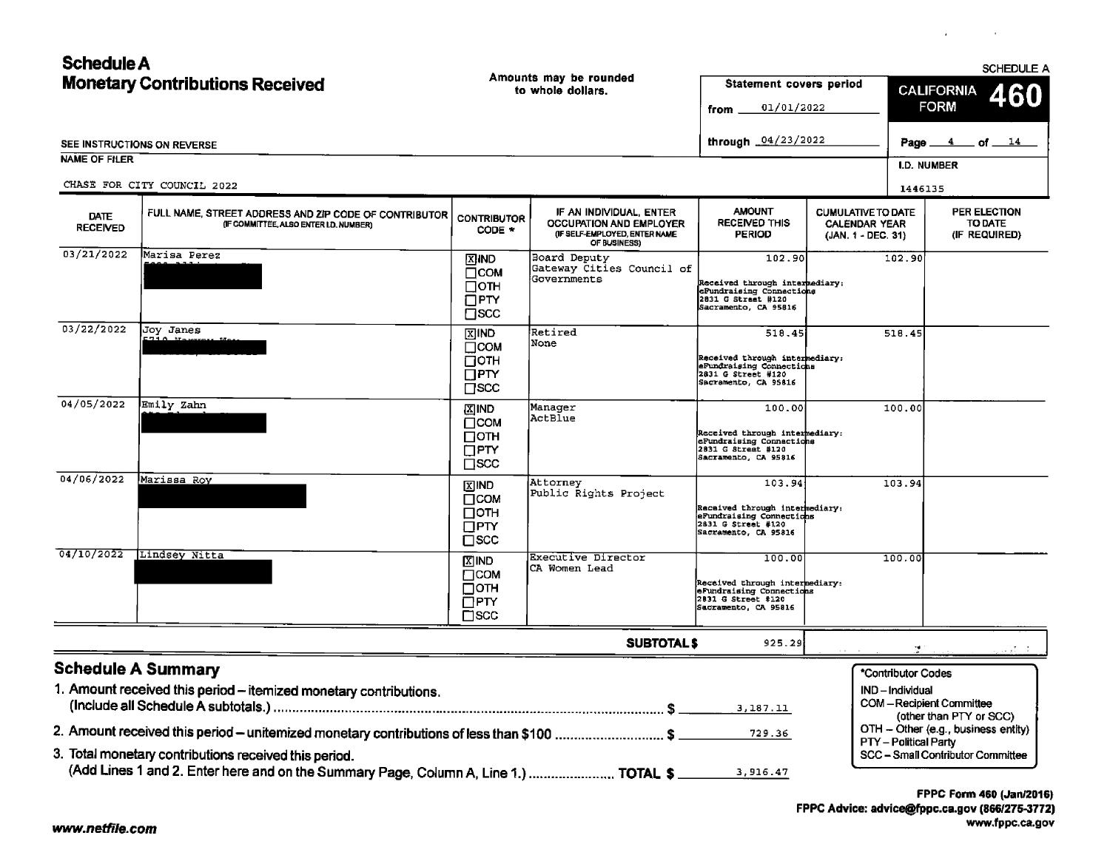| <b>Schedule A</b>                      |                                                                                                                                                                                                                                            |                                                                  |                                                                                                           |                                                                                                                    |                                                                         | <b>SCHEDULE A</b>                                                                                 |  |
|----------------------------------------|--------------------------------------------------------------------------------------------------------------------------------------------------------------------------------------------------------------------------------------------|------------------------------------------------------------------|-----------------------------------------------------------------------------------------------------------|--------------------------------------------------------------------------------------------------------------------|-------------------------------------------------------------------------|---------------------------------------------------------------------------------------------------|--|
| <b>Monetary Contributions Received</b> |                                                                                                                                                                                                                                            | Amounts may be rounded<br>to whole dollars.                      |                                                                                                           | <b>Statement covers period</b><br>01/01/2022<br>from                                                               |                                                                         | <b>CALIFORNIA</b><br>460<br><b>FORM</b>                                                           |  |
|                                        | SEE INSTRUCTIONS ON REVERSE                                                                                                                                                                                                                |                                                                  |                                                                                                           | through _04/23/2022                                                                                                |                                                                         | <u>4</u> of 14<br>Page                                                                            |  |
| <b>NAME OF FILER</b>                   |                                                                                                                                                                                                                                            |                                                                  |                                                                                                           |                                                                                                                    |                                                                         | I.D. NUMBER                                                                                       |  |
|                                        | CHASE FOR CITY COUNCIL 2022                                                                                                                                                                                                                |                                                                  |                                                                                                           |                                                                                                                    |                                                                         | 1446135                                                                                           |  |
| DATE<br><b>RECEIVED</b>                | FULL NAME, STREET ADDRESS AND ZIP CODE OF CONTRIBUTOR<br>(IF COMMITTEE, ALSO ENTER LD. NUMBER)                                                                                                                                             | <b>CONTRIBUTOR</b><br>CODE *                                     | IF AN INDIVIDUAL ENTER<br><b>OCCUPATION AND EMPLOYER</b><br>(IF SELF-EMPLOYED, ENTER NAME<br>OF BUSINESS) | <b>AMOUNT</b><br>RECEIVED THIS<br><b>PERIOD</b>                                                                    | <b>CUMULATIVE TO DATE</b><br><b>CALENDAR YEAR</b><br>(JAN. 1 - DEC. 31) | PER ELECTION<br>TO DATE<br>(IF REQUIRED)                                                          |  |
| 03/21/2022                             | Marisa Perez                                                                                                                                                                                                                               | <b>XIND</b><br>Псом<br>Потн<br>OPTY<br>$\overline{\Box}$ scc     | Board Deputy<br>Gateway Cities Council of<br>Governments                                                  | 102.90<br>Received through intermediary;<br>eFundraising Connections<br>2831 G Street #120<br>Sacramento, CA 95816 |                                                                         | 102.90                                                                                            |  |
| 03/22/2022                             | Joy Janes                                                                                                                                                                                                                                  | 図IND<br>Псом<br>⊡отн<br>$\bar{\Box}$ PTY<br>$\Box$ scc           | Retired<br>None                                                                                           | 518.45<br>Received through intermediary:<br>eFundraising Connections<br>2831 G Street #120<br>Sacramento, CA 95816 |                                                                         | 518.45                                                                                            |  |
| 04/05/2022                             | Emily Zahn                                                                                                                                                                                                                                 | <b>XIND</b><br>$\Box$ COM<br>Потн<br>$\Box$ PTY<br>$\square$ scc | Manager<br>ActBlue                                                                                        | 100.00<br>Received through intermediary:<br>eFundraising Connections<br>2831 G Street #120<br>Sacramento, CA 95816 |                                                                         | 100.00                                                                                            |  |
| 04/06/2022                             | Marissa Roy                                                                                                                                                                                                                                | <b>XIND</b><br>Псом<br>⊔отн<br>$\Box$ PTY<br>$\square$ SCC       | Attorney<br>Public Rights Project                                                                         | 103.94<br>Received through intermediary:<br>eFundraising Connections<br>2831 G Street #120<br>Sacramento, CA 95816 |                                                                         | 103.94                                                                                            |  |
| 04/10/2022                             | Lindsey Nitta                                                                                                                                                                                                                              | 区IND<br>ПСОМ<br>⊡отн<br>$\Box$ PTY<br>$\sqcap$ scc               | <b>Executive Director</b><br>CA Women Lead                                                                | 100.00<br>Received through intermediary:<br>eFundraising Connections<br>2831 G Street #120<br>Sacramento, CA 95816 |                                                                         | 100.00                                                                                            |  |
|                                        |                                                                                                                                                                                                                                            |                                                                  | <b>SUBTOTALS</b>                                                                                          | 925.29                                                                                                             |                                                                         |                                                                                                   |  |
|                                        | <b>Schedule A Summary</b><br>1. Amount received this period - itemized monetary contributions.                                                                                                                                             |                                                                  |                                                                                                           | 3,187.11                                                                                                           |                                                                         | *Contributor Codes<br>IND-Individual<br><b>COM-Recipient Committee</b><br>(other than PTY or SCC) |  |
|                                        | 2. Amount received this period – unitemized monetary contributions of less than \$100  \$<br>3. Total monetary contributions received this period.<br>(Add Lines 1 and 2. Enter here and on the Summary Page, Column A, Line 1.)  TOTAL \$ |                                                                  |                                                                                                           | 729.36<br>3,916.47                                                                                                 |                                                                         | OTH - Other (e.g., business entity)<br>PTY - Political Party<br>SCC - Small Contributor Committee |  |

 $\sim 100$ 

 $\mathcal{A}^{\pm}$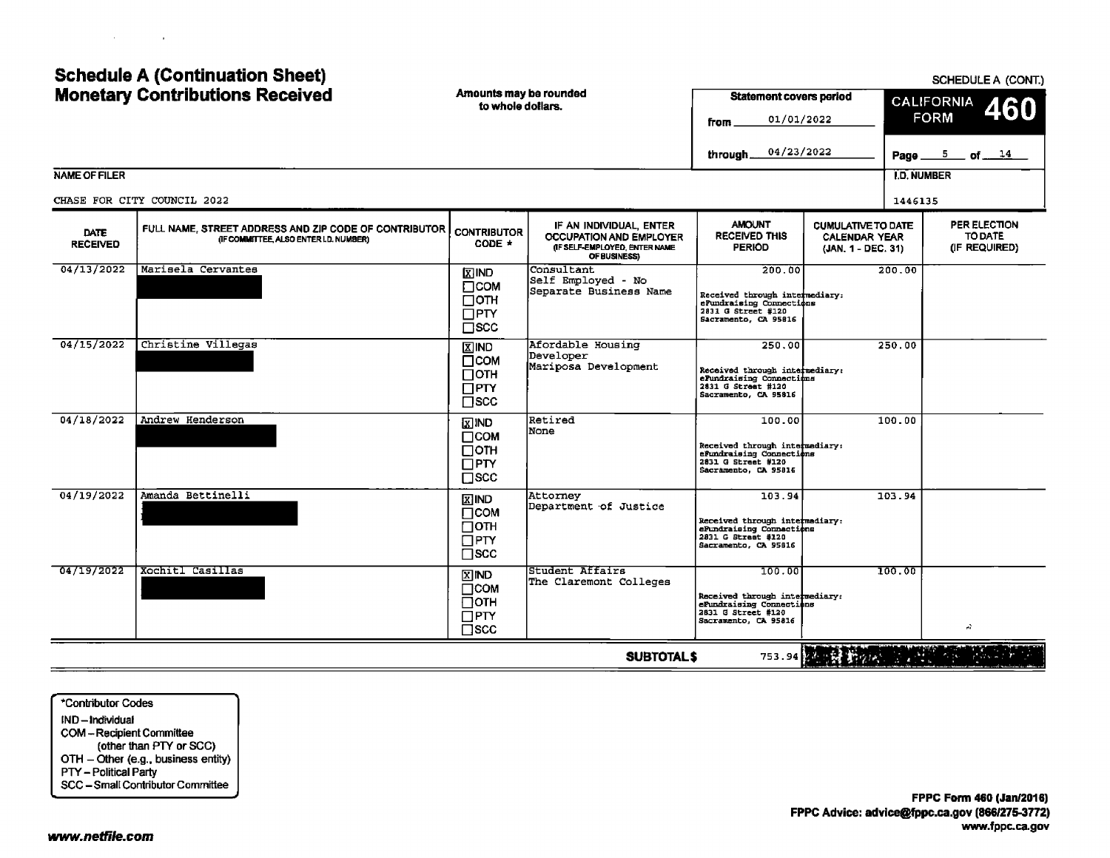| the control of the control of the con- |  |  |
|----------------------------------------|--|--|
|                                        |  |  |

# **Schedule A (Continuation Sheet)**

| <b>Monetary Contributions Received</b> |                                                                                                 | Amounts may be rounded<br>to whole dollars.                            |                                                                                                     | <b>Statement covers period</b><br>01/01/2022<br>from                                                               |                                                                         | <b>CALIFORNIA</b><br>460<br><b>FORM</b> |                                          |  |
|----------------------------------------|-------------------------------------------------------------------------------------------------|------------------------------------------------------------------------|-----------------------------------------------------------------------------------------------------|--------------------------------------------------------------------------------------------------------------------|-------------------------------------------------------------------------|-----------------------------------------|------------------------------------------|--|
|                                        |                                                                                                 |                                                                        |                                                                                                     | 04/23/2022<br>through                                                                                              |                                                                         | Page_                                   | $5$ of $14$                              |  |
| <b>NAME OF FILER</b>                   |                                                                                                 |                                                                        |                                                                                                     |                                                                                                                    |                                                                         | <b>I.D. NUMBER</b>                      |                                          |  |
|                                        | CHASE FOR CITY COUNCIL 2022                                                                     |                                                                        |                                                                                                     |                                                                                                                    |                                                                         | 1446135                                 |                                          |  |
| <b>DATE</b><br><b>RECEIVED</b>         | FULL NAME, STREET ADDRESS AND ZIP CODE OF CONTRIBUTOR<br>(IF COMMITTEE, ALSO ENTER I.D. NUMBER) | <b>CONTRIBUTOR</b><br>$CODE +$                                         | IF AN INDIVIDUAL, ENTER<br>OCCUPATION AND EMPLOYER<br>(IF SELF-EMPLOYED, ENTER NAME<br>OF BUSINESS) | <b>AMOUNT</b><br><b>RECEIVED THIS</b><br><b>PERIOD</b>                                                             | <b>CUMULATIVE TO DATE</b><br><b>CALENDAR YEAR</b><br>(JAN. 1 - DEC. 31) |                                         | PER ELECTION<br>TO DATE<br>(IF REQUIRED) |  |
| 04/13/2022                             | Marisela Cervantes                                                                              | <b>DAIR</b><br>$\Box$ COM<br>Потн<br>$\square$ PTY<br>$\square$ SCC    | Consultant<br>Self Employed - No<br>Separate Business Name                                          | 200.00<br>Received through intermediary:<br>ePundraising Connections<br>2831 G Street #120<br>Sacramento, CA 95816 |                                                                         | 200.00                                  |                                          |  |
| 04/15/2022                             | Christine Villegas                                                                              | <b>X IND</b><br>$\Box$ COM<br>∏отн<br>$\Box$ PTY<br>$\square$ scc      | Afordable Housing<br>Developer<br>Mariposa Development                                              | 250.00<br>Received through intermediary:<br>ePundraising Connections<br>2831 G Street #120<br>Sacramento, CA 95816 |                                                                         | 250.00                                  |                                          |  |
| 04/18/2022                             | Andrew Henderson                                                                                | $\Sigma$ IND<br>$\Box$ COM<br>□отн<br>$\Box$ PTY<br>$\square$ scc      | Retired<br>None                                                                                     | 100.00<br>Received through intermediary:<br>efundraising Connections<br>2831 G Street #120<br>Sacramento, CA 95816 |                                                                         | 100.00                                  |                                          |  |
| 04/19/2022                             | Amanda Bettinelli                                                                               | <b>X IND</b><br>$\Box$ COM<br>$\Box$ OTH<br>$\Box$ PTY<br>$\sqcap$ scc | Attorney<br>Department of Justice                                                                   | 103.94<br>Received through intermediary:<br>ePundraising Connections<br>2831 G Street #120<br>Sacramento, CA 95816 |                                                                         | 103.94                                  |                                          |  |
| 04/19/2022                             | Xochitl Casillas                                                                                | <b>XIND</b><br>$\Box$ COM<br>$\Box$ OTH<br>$\Box$ PTY<br>$\square$ scc | Student Affairs<br>The Claremont Colleges                                                           | 100.00<br>Received through intermediary:<br>eFundraising Connections<br>2831 G Street #120<br>Sacramento, CA 95816 |                                                                         | 100.00                                  | A.                                       |  |
|                                        |                                                                                                 |                                                                        | <b>SUBTOTAL\$</b>                                                                                   |                                                                                                                    |                                                                         |                                         |                                          |  |

\*Contributor Codes IND-Individual COM-Recipient Committee (other than PTY or SCC) OTH - Other (e.g., business entity) PTY - Political Party SCC - Small Contributor Committee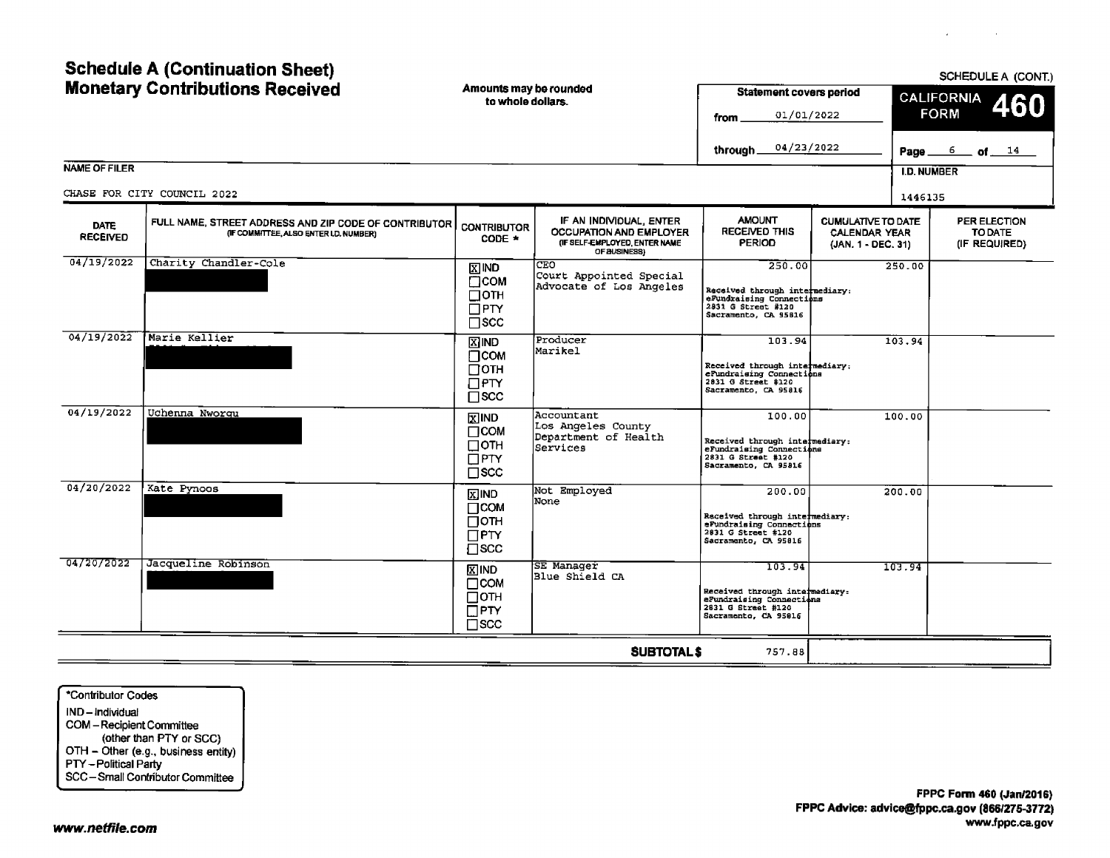| <b>Schedule A (Continuation Sheet)</b><br><b>Monetary Contributions Received</b> |                                                                                                 | Amounts may be rounded<br>to whole dollars.                                    |                                                                                                            |                                                                                                                    | <b>Statement covers period</b><br>01/01/2022                            | SCHEDULE A (CONT.)<br><b>CALIFORNIA</b><br>460<br><b>FORM</b> |                                          |  |
|----------------------------------------------------------------------------------|-------------------------------------------------------------------------------------------------|--------------------------------------------------------------------------------|------------------------------------------------------------------------------------------------------------|--------------------------------------------------------------------------------------------------------------------|-------------------------------------------------------------------------|---------------------------------------------------------------|------------------------------------------|--|
|                                                                                  |                                                                                                 |                                                                                |                                                                                                            | 04/23/2022<br>through.                                                                                             |                                                                         | Page __                                                       | $\frac{6}{ }$ of $\frac{14}{ }$          |  |
| <b>NAME OF FILER</b>                                                             | CHASE FOR CITY COUNCIL 2022                                                                     |                                                                                |                                                                                                            |                                                                                                                    |                                                                         | <b>I.D. NUMBER</b>                                            |                                          |  |
|                                                                                  |                                                                                                 |                                                                                |                                                                                                            |                                                                                                                    |                                                                         | 1446135                                                       |                                          |  |
| <b>DATE</b><br><b>RECEIVED</b>                                                   | FULL NAME, STREET ADDRESS AND ZIP CODE OF CONTRIBUTOR<br>(IF COMMITTEE, ALSO ENTER I.D. NUMBER) | <b>CONTRIBUTOR</b><br>$CODE$ $*$                                               | IF AN INDIVIDUAL, ENTER<br><b>OCCUPATION AND EMPLOYER</b><br>(IF SELF-EMPLOYED, ENTER NAME<br>OF BUSINESS) | <b>AMOUNT</b><br><b>RECEIVED THIS</b><br>PERIOD                                                                    | <b>CUMULATIVE TO DATE</b><br><b>CALENDAR YEAR</b><br>(JAN. 1 - DEC. 31) |                                                               | PER ELECTION<br>TO DATE<br>(IF REQUIRED) |  |
| 04/19/2022                                                                       | Charity Chandler-Cole                                                                           | $\mathbb{X}$ IND<br>$\Box$ COM<br>$\Box$ oth<br>$\square$ PTY<br>$\square$ scc | CEO<br>Court Appointed Special<br>Advocate of Los Angeles                                                  | 250.00<br>Received through intermediary:<br>eFundraising Connections<br>2831 G Street #120<br>Sacramento, CA 95816 |                                                                         | 250.00                                                        |                                          |  |
| 04/19/2022                                                                       | Marie Kellier                                                                                   | <b>X</b> IND<br>$\Box$ COM<br>$\Box$ OTH<br>$\Box$ PTY<br>$\square$ scc        | Producer<br>Marikel                                                                                        | 103.94<br>Received through intermediary;<br>eFundraising Connections<br>2831 G Street #120<br>Sacramento, CA 95816 |                                                                         | 103.94                                                        |                                          |  |
| 04/19/2022                                                                       | Uchenna Nworqu                                                                                  | $X$ IND<br>$\Box$ COM<br>$\Box$ OTH<br>$\square$ PTY<br>$\square$ SCC          | Accountant<br>Los Angeles County<br>Department of Health<br>Services                                       | 100.00<br>Received through intermediary:<br>eFundraising Connections<br>2831 G Street #120<br>Sacramento, CA 95816 |                                                                         | 100.00                                                        |                                          |  |
| 04/20/2022                                                                       | Kate Pynoos                                                                                     | <b>X</b> IND<br>$\Box$ COM<br>⊟отн<br>$\Box$ PTY<br>$\Box$ scc                 | Not Employed<br>None                                                                                       | 200.00<br>Received through intermediary:<br>eFundraising Connections<br>2831 G Street #120<br>Sacramento, CA 95816 |                                                                         | 200.00                                                        |                                          |  |
| 04/20/2022                                                                       | Jacqueline Robinson                                                                             | $X$ IND<br>$\Box$ COM<br>$\Box$ OTH<br>$\Box$ PTY<br>$\square$ scc             | SE Manager<br>Blue Shield CA                                                                               | 103.94<br>Received through intermediary:<br>eFundraising Connections<br>2831 G Street #120<br>Sacramento, CA 95816 |                                                                         | 103.94                                                        |                                          |  |
|                                                                                  |                                                                                                 |                                                                                | <b>SUBTOTALS</b>                                                                                           | 757.88                                                                                                             |                                                                         |                                                               |                                          |  |

\*Contributor Codes IND— Individual COM— Recipient Committee other than PTY or SCC)  $\mathsf{O}\square\mathsf{H}-\mathsf{U}\mathsf{Iner}$  (e.g., business entity) PTY— Political Party SCC— Small Contributor Committee  $\sim$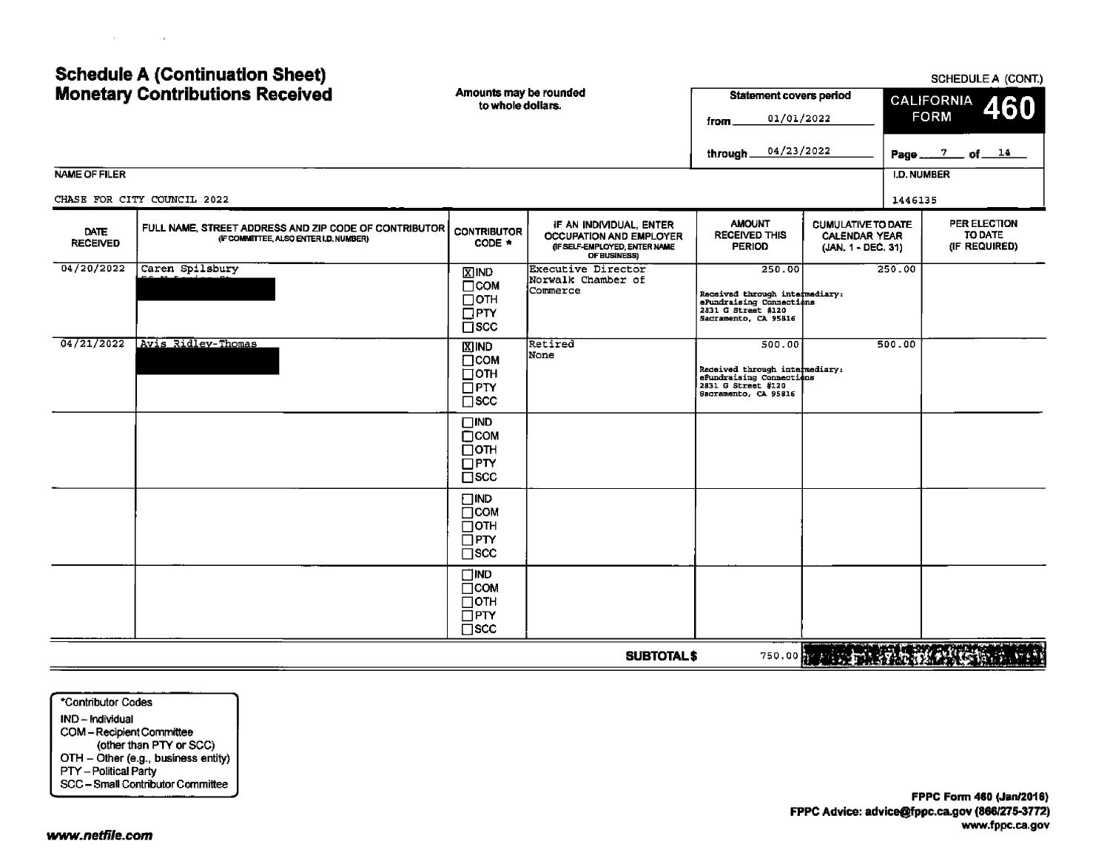## Schedule A (Continuation Sheet) Schedule A (CONT.) SCHEDULE A (CONT.) Monetary Contributions Received Amounts may be rounded and Statement covers period to whole dollars.

|                         |                                                                                                 | to whole dollars.                                                           |                                                                                                            | 01/01/2022<br>from .<br>04/23/2022                                                                                 |                                                                         | <u>CALIFORNIA</u><br><b>FORM</b> | 460                                      |
|-------------------------|-------------------------------------------------------------------------------------------------|-----------------------------------------------------------------------------|------------------------------------------------------------------------------------------------------------|--------------------------------------------------------------------------------------------------------------------|-------------------------------------------------------------------------|----------------------------------|------------------------------------------|
| NAME OF FILER           |                                                                                                 |                                                                             |                                                                                                            | through.                                                                                                           |                                                                         | <b>I.D. NUMBER</b>               | Page 7 of 14                             |
|                         |                                                                                                 |                                                                             |                                                                                                            |                                                                                                                    |                                                                         |                                  |                                          |
|                         | CHASE FOR CITY COUNCIL 2022                                                                     |                                                                             |                                                                                                            |                                                                                                                    |                                                                         | 1446135                          |                                          |
| DATE<br><b>RECEIVED</b> | FULL NAME, STREET ADDRESS AND ZIP CODE OF CONTRIBUTOR<br>(IF COMMITTEE, ALSO ENTER I.D. NUMBER) | <b>CONTRIBUTOR</b><br>CODE *                                                | IF AN INDIVIDUAL, ENTER<br><b>OCCUPATION AND EMPLOYER</b><br>(IF SELF-EMPLOYED, ENTER NAME<br>OF BUSINESS) | <b>AMOUNT</b><br><b>RECEIVED THIS</b><br><b>PERIOD</b>                                                             | <b>CUMULATIVE TO DATE</b><br><b>CALENDAR YEAR</b><br>(JAN. 1 - DEC. 31) |                                  | PER ELECTION<br>TO DATE<br>(IF REQUIRED) |
| 04/20/2022              | Caren Spilsbury                                                                                 | $\Sigma$ IND<br>Псом<br>⊟отн<br>$\Box$ PTY<br>$\square$ scc                 | Executive Director<br>Norwalk Chamber of<br>Commerce                                                       | 250.00<br>Received through intermediary:<br>eFundraising Connections<br>2831 G Street #120<br>Sacramento, CA 95816 |                                                                         | 250.00                           |                                          |
| 04/21/2022              | Avis Ridley-Thomas                                                                              | <b>XIND</b><br>$\Box$ COM<br>$\square$ OTH<br>$\Box$ PTY<br>$\square$ SCC   | Retired<br>None                                                                                            | 500.00<br>Received through intermediary:<br>eFundraising Connections<br>2831 G Street #120<br>Sacramento, CA 95816 |                                                                         | 500.00                           |                                          |
|                         |                                                                                                 | $\square$ IND<br>$\Box$ COM<br>$\Box$ OTH<br>$\square$ PTY<br>$\square$ SCC |                                                                                                            |                                                                                                                    |                                                                         |                                  |                                          |
|                         |                                                                                                 | $\square$ IND<br>$\Box$ COM<br>$\Box$ OTH<br>$\Box$ PTY<br>$\square$ scc    |                                                                                                            |                                                                                                                    |                                                                         |                                  |                                          |
|                         |                                                                                                 | $\Box$ ind<br>$\Box$ COM<br>$\Box$ OTH<br>$\bar{\Box}$ PTY<br>$\square$ scc |                                                                                                            |                                                                                                                    |                                                                         |                                  |                                          |
|                         |                                                                                                 |                                                                             | <b>SUBTOTAL\$</b>                                                                                          |                                                                                                                    | 750.00 THE RESIDENCE OF THE CONTRACTOR                                  |                                  |                                          |

Contributor Codes IND— Individual COM—Recipient Committee other than PTY or SCC) OTH - Other (e.g., business entity) PTY— Political Party SCC— Small Contributor Committee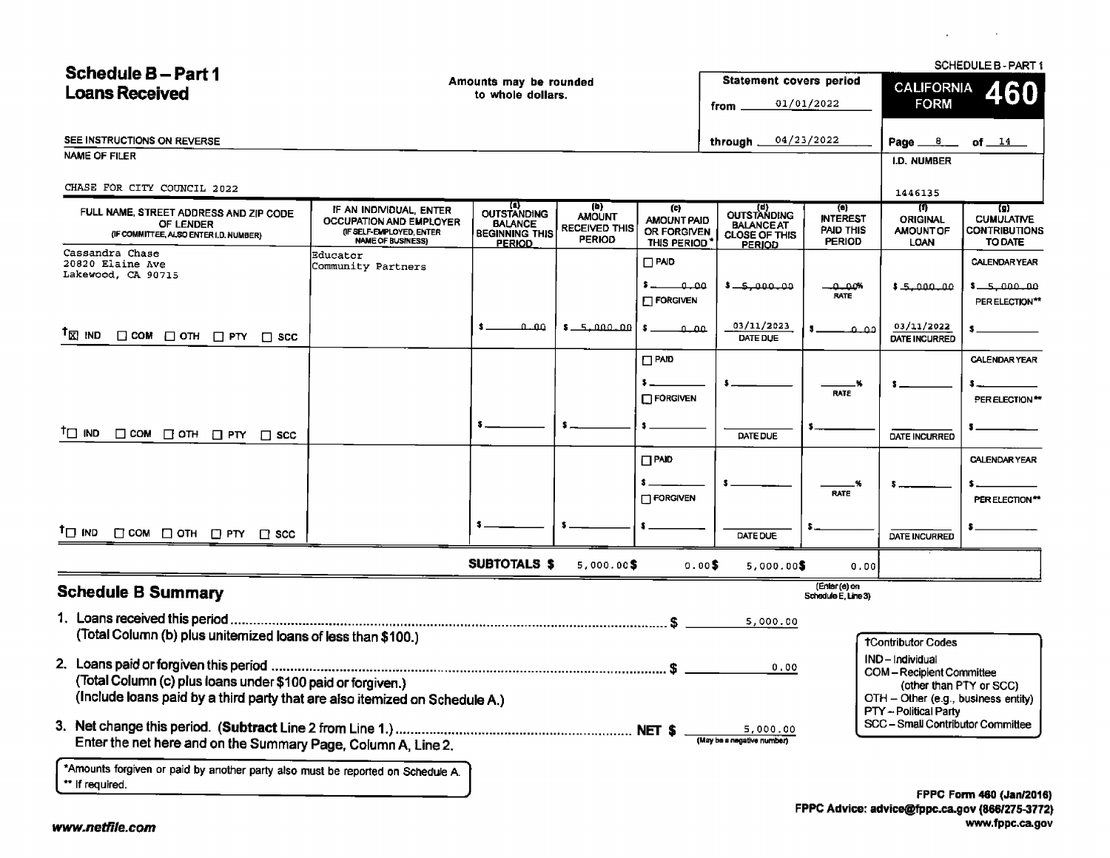$C$ 

**Carl Commercial** 

| <b>Schedule B-Part 1</b>                                                                                                                           |                                                                                                                   |                                                                                |                                                               |                                                          |                                                                    |                                                                    |                                                                       | SCHEDULE B-PART 1                                                         |
|----------------------------------------------------------------------------------------------------------------------------------------------------|-------------------------------------------------------------------------------------------------------------------|--------------------------------------------------------------------------------|---------------------------------------------------------------|----------------------------------------------------------|--------------------------------------------------------------------|--------------------------------------------------------------------|-----------------------------------------------------------------------|---------------------------------------------------------------------------|
| <b>Loans Received</b>                                                                                                                              |                                                                                                                   | Amounts may be rounded<br>to whole dollars.                                    |                                                               |                                                          | <b>Statement covers period</b>                                     |                                                                    | <b>CALIFORNIA</b>                                                     | 460                                                                       |
|                                                                                                                                                    |                                                                                                                   |                                                                                |                                                               |                                                          | from .                                                             | 01/01/2022                                                         | <b>FORM</b>                                                           |                                                                           |
| SEE INSTRUCTIONS ON REVERSE                                                                                                                        |                                                                                                                   |                                                                                |                                                               |                                                          | through $\equiv$                                                   | 04/23/2022                                                         | Page ___6___                                                          | of $14$                                                                   |
| NAME OF FILER                                                                                                                                      |                                                                                                                   |                                                                                |                                                               |                                                          |                                                                    |                                                                    | I.D. NUMBER                                                           |                                                                           |
|                                                                                                                                                    |                                                                                                                   |                                                                                |                                                               |                                                          |                                                                    |                                                                    |                                                                       |                                                                           |
| CHASE FOR CITY COUNCIL 2022                                                                                                                        |                                                                                                                   |                                                                                |                                                               |                                                          |                                                                    |                                                                    | 1446135                                                               |                                                                           |
| FULL NAME, STREET ADDRESS AND ZIP CODE<br>OF LENDER<br>(IF COMMITTEE, ALSO ENTER I.D. NUMBER)                                                      | IF AN INDIVIDUAL, ENTER<br><b>OCCUPATION AND EMPLOYER</b><br>(IF SELF-EMPLOYED, ENTER<br><b>NAME OF BUSINESS)</b> | (a)<br>OUTSTANDING<br><b>BALANCE</b><br><b>BEGINNING THIS</b><br><b>PERIOD</b> | (b)<br><b>AMOUNT</b><br><b>RECEIVED THIS</b><br><b>PERIOD</b> | (c)<br><b>AMOUNT PAID</b><br>OR FORGIVEN<br>THIS PERIOD' | CUTSTANDING<br><b>BALANCE AT</b><br>CLOSE OF THIS<br><b>PERIOD</b> | $\left( n\right)$<br><b>INTEREST</b><br>PAID THIS<br><b>PERIOD</b> | 再<br><b>ORIGINAL</b><br><b>AMOUNT OF</b><br>LOAN                      | $\left( 9\right)$<br><b>CUMULATIVE</b><br><b>CONTRIBUTIONS</b><br>TO DATE |
| Cassandra Chase<br>20820 Elaine Ave<br>Lakewood, CA 90715                                                                                          | Educator<br>Community Partners                                                                                    |                                                                                |                                                               | $\Box$ PAID                                              |                                                                    |                                                                    |                                                                       | <b>CALENDARYEAR</b>                                                       |
|                                                                                                                                                    |                                                                                                                   |                                                                                |                                                               | ممنق<br>$\Box$ FORGIVEN                                  | ممتموسة— •                                                         | ەممە<br>RATE                                                       | 1.5.000.00                                                            | $5 - 5,000,00$<br>PER ELECTION**                                          |
| <sup>1</sup> ⊠ שו<br>$\Box$ COM $\Box$ OTH $\Box$ PTY $\Box$ SCC                                                                                   |                                                                                                                   | مملم                                                                           | 00 - 100 - 10 - 10                                            | $\cdot$ 0.00                                             | 03/11/2023<br>DATE DUE                                             | مم م                                                               | 03/11/2022<br><b>DATE INCURRED</b>                                    |                                                                           |
|                                                                                                                                                    |                                                                                                                   |                                                                                |                                                               | $\Box$ PAID                                              |                                                                    |                                                                    |                                                                       | <b>CALENDAR YEAR</b>                                                      |
|                                                                                                                                                    |                                                                                                                   |                                                                                |                                                               |                                                          |                                                                    | M                                                                  |                                                                       |                                                                           |
|                                                                                                                                                    |                                                                                                                   |                                                                                |                                                               | $\Box$ FORGIVEN                                          |                                                                    | <b>RATE</b>                                                        |                                                                       | PER ELECTION **                                                           |
| $\mathsf{T} \square$ IND<br>$\Box$ COM $\Box$ OTH $\Box$ PTY $\Box$ SCC                                                                            |                                                                                                                   |                                                                                |                                                               |                                                          | DATE DUE                                                           |                                                                    | <b>DATE INCURRED</b>                                                  |                                                                           |
|                                                                                                                                                    |                                                                                                                   |                                                                                |                                                               | $\Box$ PAID                                              |                                                                    |                                                                    |                                                                       | <b>CALENDAR YEAR</b>                                                      |
|                                                                                                                                                    |                                                                                                                   |                                                                                |                                                               | FORGIVEN                                                 |                                                                    | .%<br><b>RATE</b>                                                  |                                                                       | PER ELECTION**                                                            |
| <sup>†</sup> ⊡ ind<br>$\Box$ COM $\Box$ OTH $\Box$ PTY $\Box$ SCC                                                                                  |                                                                                                                   |                                                                                |                                                               |                                                          | DATE DUE                                                           |                                                                    | DATE INCURRED                                                         |                                                                           |
|                                                                                                                                                    |                                                                                                                   | <b>SUBTOTALS \$</b>                                                            | $5,000.00$ \$                                                 | 0.005                                                    | $5,000.00$ \$                                                      | 0.00                                                               |                                                                       |                                                                           |
| <b>Schedule B Summary</b>                                                                                                                          |                                                                                                                   |                                                                                |                                                               |                                                          |                                                                    | (Enter (e) on<br>Schedule E. Line 3)                               |                                                                       |                                                                           |
|                                                                                                                                                    |                                                                                                                   |                                                                                |                                                               |                                                          | 5,000.00                                                           |                                                                    |                                                                       |                                                                           |
| (Total Column (b) plus uniternized loans of less than \$100.)                                                                                      |                                                                                                                   |                                                                                |                                                               |                                                          |                                                                    |                                                                    | <b>TContributor Codes</b>                                             |                                                                           |
|                                                                                                                                                    |                                                                                                                   |                                                                                |                                                               |                                                          |                                                                    |                                                                    | IND-Individual                                                        |                                                                           |
| 0.00<br>(Total Column (c) plus loans under \$100 paid or forgiven.)<br>(Include loans paid by a third party that are also itemized on Schedule A.) |                                                                                                                   |                                                                                |                                                               |                                                          |                                                                    |                                                                    | <b>COM-Recipient Committee</b><br>OTH - Other (e.g., business entity) | (other than PTY or SCC)                                                   |
| Enter the net here and on the Summary Page, Column A, Line 2.                                                                                      |                                                                                                                   |                                                                                |                                                               |                                                          | 5,000.00<br>(May be a negative number)                             |                                                                    | PTY - Political Party<br>SCC - Small Contributor Committee            |                                                                           |
| *Amounts forgiven or paid by another party also must be reported on Schedule A.<br>** If required.                                                 |                                                                                                                   |                                                                                |                                                               |                                                          |                                                                    |                                                                    |                                                                       | FPPC Form 460 (Jan/2016                                                   |
|                                                                                                                                                    |                                                                                                                   |                                                                                |                                                               |                                                          |                                                                    |                                                                    |                                                                       |                                                                           |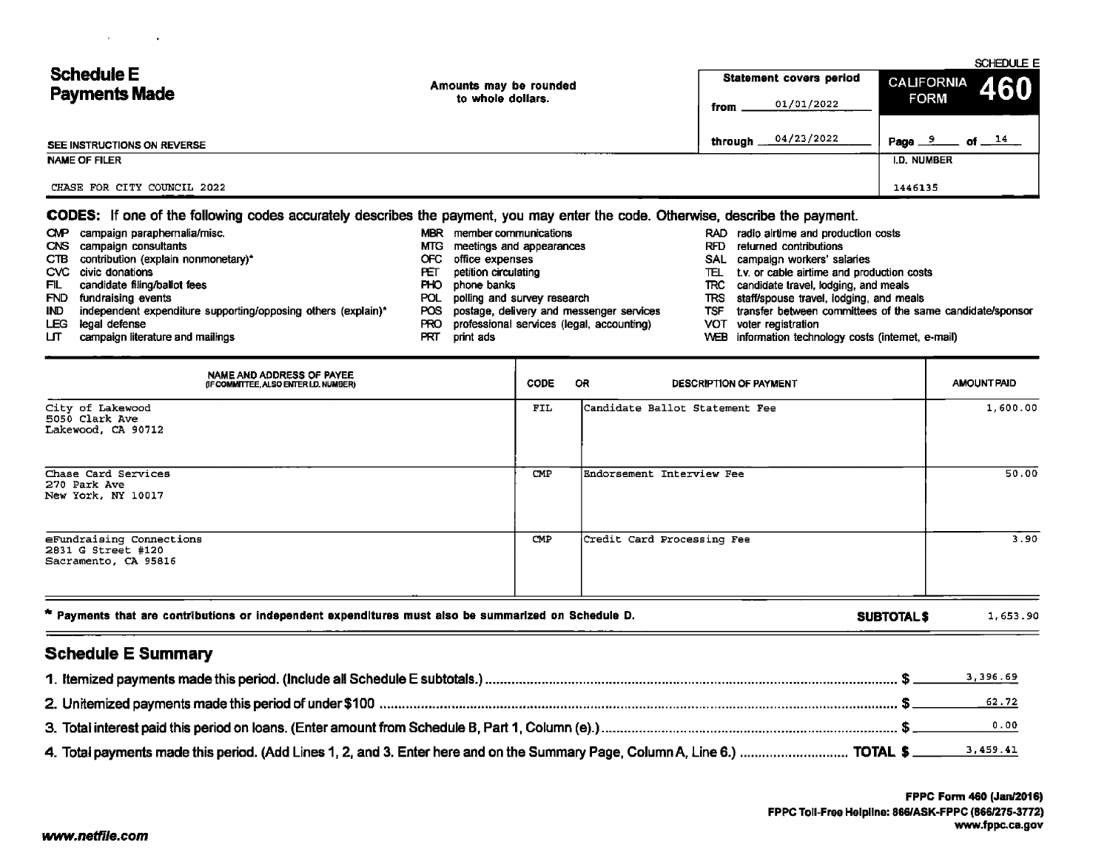| <b>Schedule E</b>           | Amounts may be rounded | <b>Statement covers period</b> | SCHEDULE E<br>CALIFORNIA<br>460 |
|-----------------------------|------------------------|--------------------------------|---------------------------------|
| <b>Payments Made</b>        | to whole dollars.      | 01/01/2022<br>from             | <b>FORM</b>                     |
| SEE INSTRUCTIONS ON REVERSE |                        | 04/23/2022<br>through _        | of $14$<br>Page $\frac{9}{2}$   |
| <b>NAME OF FILER</b>        |                        |                                | I.D. NUMBER                     |
| CHASE FOR CITY COUNCIL 2022 |                        |                                | 1446135                         |

### CODES: If one of the following codes accurately describes the payment, you may enter the code. Otherwise, describe the payment.

| <b>CMP</b> | campaign paraphernalia/misc.                                  | <b>MBR</b> | member communications                     |      | RAD radio airtime and production costs                    |
|------------|---------------------------------------------------------------|------------|-------------------------------------------|------|-----------------------------------------------------------|
|            | CNS campaign consultants                                      | MTG.       | meetings and appearances                  | RFD. | returned contributions                                    |
|            | CTB contribution (explain nonmonetary)*                       | OFC.       | office expenses                           |      | SAL campaign workers' salaries                            |
|            | CVC civic donations                                           | Æ          | petition circulating                      | TEL. | t.v. or cable airtime and production costs                |
| FIL I      | candidate filing/ballot fees                                  | <b>PHO</b> | phone banks                               | TRC. | candidate travel, lodging, and meals                      |
|            | FND fundraising events                                        | <b>POL</b> | polling and survey research               | TRS  | staff/spouse travel, lodging, and meals                   |
| IND.       | independent expenditure supporting/opposing others (explain)* | POS.       | postage, delivery and messenger services  | TSF  | transfer between committees of the same candidate/sponsor |
| LEG –      | legal defense                                                 | PRO.       | professional services (legal, accounting) |      | VOT voter registration                                    |
| பா         | campaign literature and mailings                              | PRT        | print ads                                 |      | WEB information technology costs (internet, e-mail)       |

| NAME AND ADDRESS OF PAYEE<br>(IF COMMITTEE, ALSO ENTER I.D. NUMBER)                                                                  | CODE | OR.<br><b>DESCRIPTION OF PAYMENT</b> | <b>AMOUNT PAID</b> |  |  |
|--------------------------------------------------------------------------------------------------------------------------------------|------|--------------------------------------|--------------------|--|--|
| City of Lakewood<br>5050 Clark Ave<br>Lakewood, CA 90712                                                                             | FIL. | Candidate Ballot Statement Fee       | 1,600.00           |  |  |
| Chase Card Services<br>270 Park Ave<br>New York, NY 10017                                                                            | CMP  | Endorsement Interview Fee            | 50.00              |  |  |
| eFundraising Connections<br>2831 G Street #120<br>Sacramento, CA 95816                                                               | CMP  | Credit Card Processing Fee           | 3.90               |  |  |
| * Payments that are contributions or independent expenditures must also be summarized on Schedule D.<br>1,653.90<br><b>SUBTOTALS</b> |      |                                      |                    |  |  |

## Schedule E Summary

 $\mathbf{A}$  and  $\mathbf{A}$  are  $\mathbf{A}$  . The set of  $\mathbf{A}$ 

|                                                                                                                              | 3,396.69 |
|------------------------------------------------------------------------------------------------------------------------------|----------|
|                                                                                                                              |          |
|                                                                                                                              |          |
| 4. Total payments made this period. (Add Lines 1, 2, and 3. Enter here and on the Summary Page, Column A, Line 6.)  TOTAL \$ | 3,459.41 |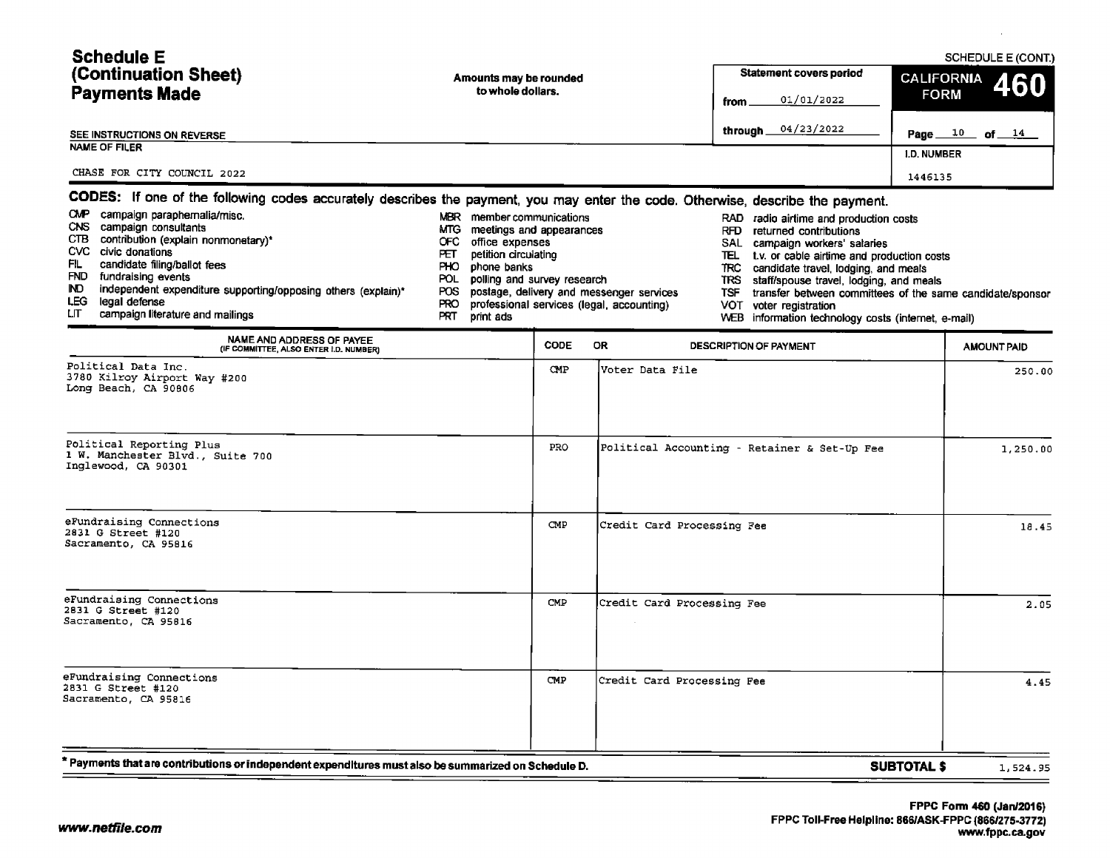| <b>Schedule E</b>                                                                                                                                                                           |                                                                                                                                                          |                                                                                                                                                                                                                    | SCHEDULE E (CONT.)       |  |  |
|---------------------------------------------------------------------------------------------------------------------------------------------------------------------------------------------|----------------------------------------------------------------------------------------------------------------------------------------------------------|--------------------------------------------------------------------------------------------------------------------------------------------------------------------------------------------------------------------|--------------------------|--|--|
| (Continuation Sheet)                                                                                                                                                                        | Amounts may be rounded                                                                                                                                   | <b>Statement covers period</b>                                                                                                                                                                                     | <b>CALIFORNIA</b><br>460 |  |  |
| <b>Payments Made</b>                                                                                                                                                                        | to whole dollars.                                                                                                                                        | 01/01/2022<br>from .                                                                                                                                                                                               | <b>FORM</b>              |  |  |
| SEE INSTRUCTIONS ON REVERSE                                                                                                                                                                 |                                                                                                                                                          | 04/23/2022<br>through __                                                                                                                                                                                           | Page $10$ of $14$        |  |  |
| NAME OF FILER                                                                                                                                                                               |                                                                                                                                                          |                                                                                                                                                                                                                    | <b>I.D. NUMBER</b>       |  |  |
| CHASE FOR CITY COUNCIL 2022                                                                                                                                                                 |                                                                                                                                                          |                                                                                                                                                                                                                    | 1446135                  |  |  |
|                                                                                                                                                                                             | CODES: If one of the following codes accurately describes the payment, you may enter the code. Otherwise, describe the payment.                          |                                                                                                                                                                                                                    |                          |  |  |
| <b>CMP</b><br>campaign paraphernalia/misc.<br>CNS.<br>campaign consultants<br>CTB.<br>contribution (explain nonmonetary)*<br>civic donations<br>CVC.<br>FL.<br>candidate filing/ballot fees | <b>MBR</b><br>member communications<br>MTG.<br>meetings and appearances<br>OFC.<br>office expenses<br>petition circulating<br>FЕТ<br>PНО.<br>phone banks | RAD radio airlime and production costs<br>returned contributions<br>RFD.<br>SAL<br>campaign workers' salaries<br>TEL.<br>t.v. or cable airtime and production costs<br>TRC<br>candidate travel, lodging, and meals |                          |  |  |
| <b>FND</b><br>fundraising events<br>$\mathbf{r}$<br>والمتاري والمستحقق والمتحل والمتحال والمتحدث والمتحال والمستحق والمستحقق والمستحقق والمستحقق والمتحالة والمتحال                         | POL.<br>polling and survey research                                                                                                                      | TRS<br>staff/spouse travel, lodging, and meals                                                                                                                                                                     |                          |  |  |

- 
- 
- FND fundraising events events events produces there are polling and survey research TRS staff/ spouse travel, lodging, and meals not meals independent expenditure supporting/opposing others (explain)\* POS postage, delivery IND independent expenditure supporting/opposing others (explain)<sup>\*</sup> POS postage, delivery and messenger services TSF transfer between committees in the same candidate transfer between committees of the same candidatels of
- LEG legal defense<br>LIT campaign literature and mailings expressional services ( legal, accounting) VOT campaign literature and mailings
- WEB information technology costs (internet, e-mail)

| NAME AND ADDRESS OF PAYEE<br>(IF COMMITTEE, ALSO ENTER I.D. NUMBER)                                | <b>CODE</b> | <b>OR</b><br><b>DESCRIPTION OF PAYMENT</b>   | <b>AMOUNT PAID</b> |
|----------------------------------------------------------------------------------------------------|-------------|----------------------------------------------|--------------------|
| Political Data Inc.<br>3780 Kilroy Airport Way #200<br>Long Beach, CA 90806                        | <b>CMP</b>  | Voter Data File                              | 250.00             |
| Political Reporting Plus<br>1 W. Manchester Blvd., Suite 700<br>Inglewood, CA 90301                | PRO.        | Political Accounting - Retainer & Set-Up Fee | 1,250.00           |
| eFundraising Connections<br>2831 G Street #120<br>Sacramento, CA 95816                             | CMP         | Credit Card Processing Fee                   | 18.45              |
| eFundraising Connections<br>2831 G Street #120<br>Sacramento, CA 95816                             | CMP         | Credit Card Processing Fee                   | 2.05               |
| eFundraising Connections<br>2831 G Street #120<br>Sacramento, CA 95816                             | CMP         | Credit Card Processing Fee                   | 4.45               |
| Payments that are contributions or independent expenditures must also be summarized on Schedule D. |             | <b>SUBTOTAL \$</b>                           | 1,524.95           |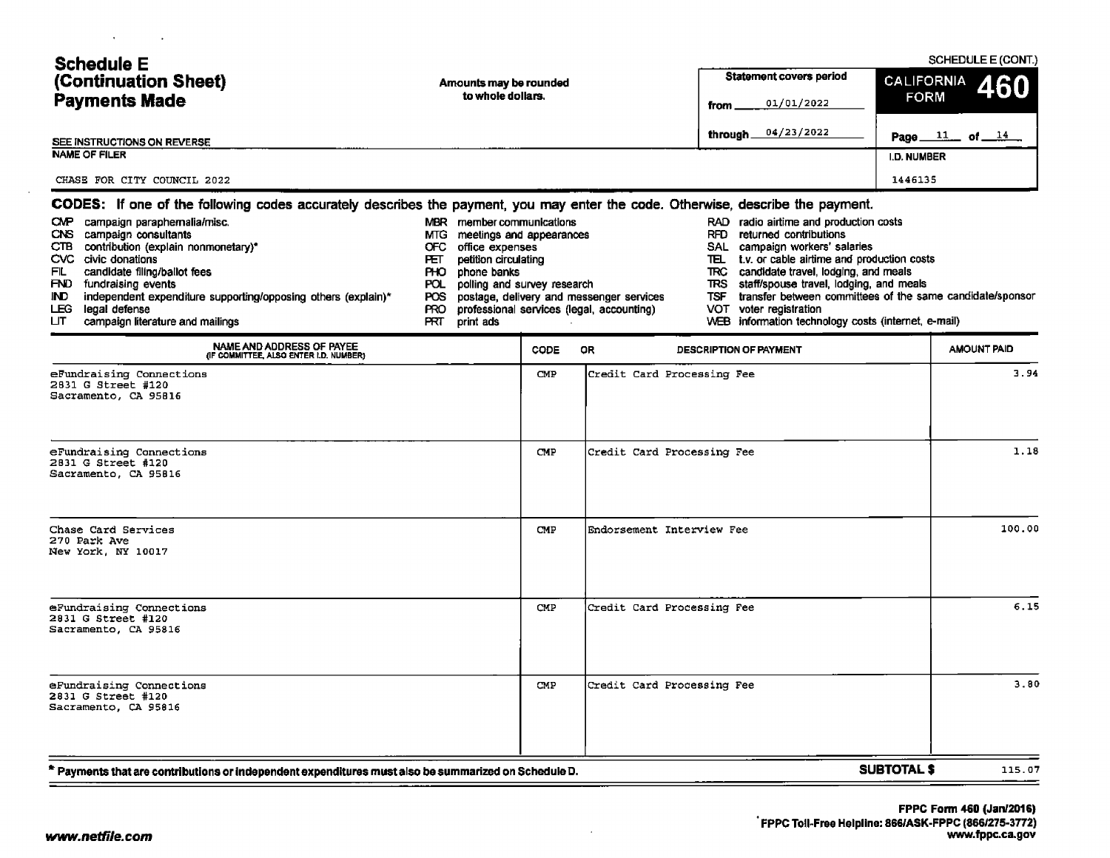| <b>Schedule E</b><br>(Continuation Sheet)<br><b>Payments Made</b><br>SEE INSTRUCTIONS ON REVERSE<br><b>NAME OF FILER</b><br>CHASE FOR CITY COUNCIL 2022                                                                                                                                                                                                                                                                                                                        | Amounts may be rounded<br>to whole dollars.                                                                                                                                                                                            |             |                                                                                       | <b>Statement covers period</b><br>01/01/2022<br>from<br>04/23/2022<br>through_                                                                                                                                                                                                                                                                                                                             | <b>CALIFORNIA</b><br><b>FORM</b><br>I.D. NUMBER<br>1446135 | SCHEDULE E (CONT.)<br>Page $11$ of $14$ |
|--------------------------------------------------------------------------------------------------------------------------------------------------------------------------------------------------------------------------------------------------------------------------------------------------------------------------------------------------------------------------------------------------------------------------------------------------------------------------------|----------------------------------------------------------------------------------------------------------------------------------------------------------------------------------------------------------------------------------------|-------------|---------------------------------------------------------------------------------------|------------------------------------------------------------------------------------------------------------------------------------------------------------------------------------------------------------------------------------------------------------------------------------------------------------------------------------------------------------------------------------------------------------|------------------------------------------------------------|-----------------------------------------|
| CODES: If one of the following codes accurately describes the payment, you may enter the code. Otherwise, describe the payment.<br>CMP campaign paraphernalia/misc.<br>campaign consultants<br>CNS.<br>CTB contribution (explain nonmonetary)*<br>CVC civic donations<br>candidate filing/ballot fees<br>FL<br>FND fundraising events<br>independent expenditure supporting/opposing others (explain)*<br>IND .<br>LEG legal defense<br>பா<br>campaign literature and mailings | MBR member communications<br>MTG.<br>meetings and appearances<br>office expenses<br>OFC.<br>petition circulating<br>FЕT.<br>PHO.<br>phone banks<br>polling and survey research<br>POL.<br>POS<br><b>PRO</b><br><b>FRT</b><br>print ads |             | postage, delivery and messenger services<br>professional services (legal, accounting) | RAD radio airtime and production costs<br>RFD returned contributions<br>SAL campaign workers' salaries<br>t.v. or cable airtime and production costs<br>ᅚ<br>TRC candidate travel, lodging, and meals<br>TRS staff/spouse travel, lodging, and meals<br>transfer between committees of the same candidate/sponsor<br>TSF.<br>VOT voter registration<br>WEB information technology costs (internet, e-mail) |                                                            |                                         |
| NAME AND ADDRESS OF PAYEE<br>(IF COMMITTEE, ALSO ENTER I.D. NUMBER)<br>eFundraising Connections<br>2831 G Street #120<br>Sacramento, CA 95816                                                                                                                                                                                                                                                                                                                                  |                                                                                                                                                                                                                                        | CODE<br>CMP | <b>OR</b><br>Credit Card Processing Fee                                               | DESCRIPTION OF PAYMENT                                                                                                                                                                                                                                                                                                                                                                                     |                                                            | <b>AMOUNT PAID</b><br>3.94              |
| eFundraising Connections<br>2831 G Street #120<br>Sacramento, CA 95816                                                                                                                                                                                                                                                                                                                                                                                                         |                                                                                                                                                                                                                                        | <b>CMP</b>  | Credit Card Processing Fee                                                            |                                                                                                                                                                                                                                                                                                                                                                                                            |                                                            | 1.18                                    |
| Chase Card Services<br>270 Park Ave<br>New York, NY 10017                                                                                                                                                                                                                                                                                                                                                                                                                      |                                                                                                                                                                                                                                        | CMP         | Endorsement Interview Fee                                                             |                                                                                                                                                                                                                                                                                                                                                                                                            |                                                            | 100.00                                  |
| eFundraising Connections<br>2831 G Street #120<br>Sacramento, CA 95816                                                                                                                                                                                                                                                                                                                                                                                                         |                                                                                                                                                                                                                                        | CMP         | Credit Card Processing Fee                                                            |                                                                                                                                                                                                                                                                                                                                                                                                            |                                                            | 6.15                                    |
| eFundraising Connections<br>2831 G Street #120<br>Sacramento, CA 95816                                                                                                                                                                                                                                                                                                                                                                                                         |                                                                                                                                                                                                                                        | CMP         | Credit Card Processing Fee                                                            |                                                                                                                                                                                                                                                                                                                                                                                                            |                                                            | 3.80                                    |
| * Payments that are contributions or independent expenditures must also be summarized on Schedule D.                                                                                                                                                                                                                                                                                                                                                                           |                                                                                                                                                                                                                                        |             |                                                                                       |                                                                                                                                                                                                                                                                                                                                                                                                            | <b>SUBTOTAL \$</b>                                         | 115.07                                  |

 $\mathbf{A}$  and  $\mathbf{A}$  are  $\mathbf{A}$  and  $\mathbf{A}$ 

 $\sim$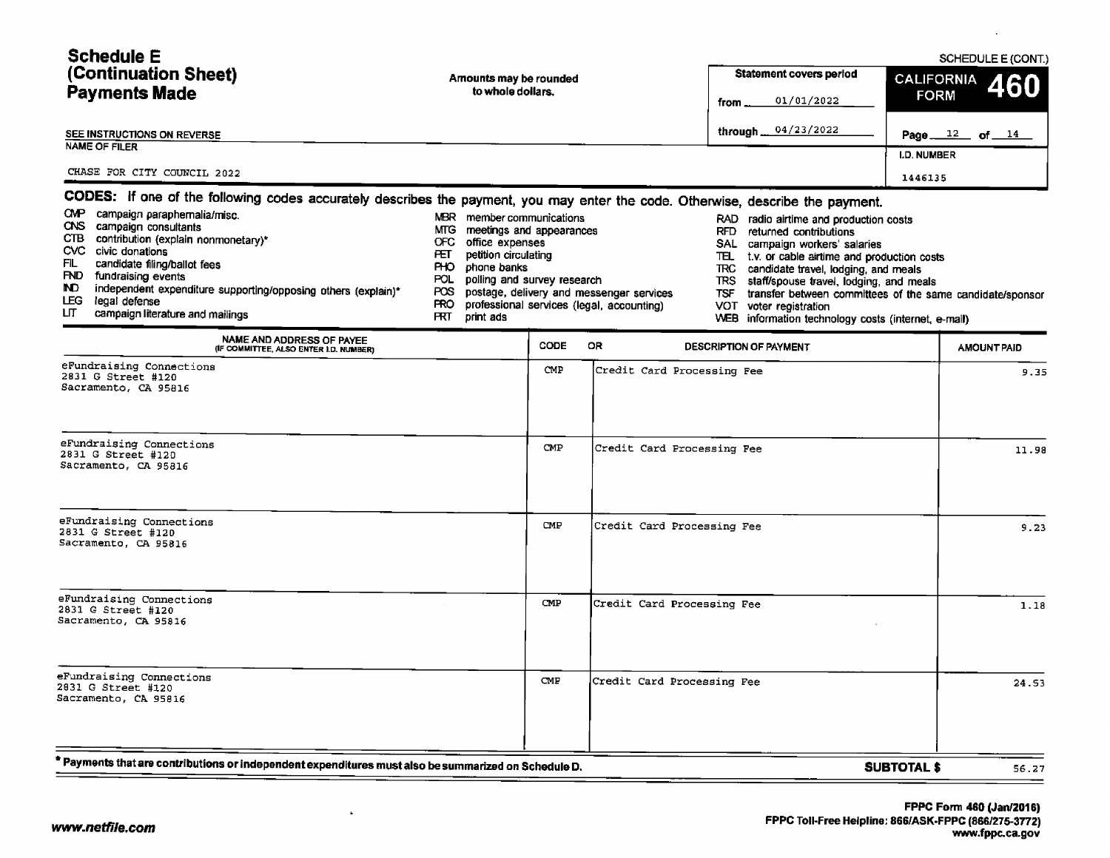| <b>Schedule E</b>           |                                                                                                                              |                         |                      |  |  |  |  |
|-----------------------------|------------------------------------------------------------------------------------------------------------------------------|-------------------------|----------------------|--|--|--|--|
| (Continuation Sheet)        | Amounts may be rounded                                                                                                       | Statement covers period | CALIFORNIA 460       |  |  |  |  |
| <b>Payments Made</b>        | to whole dollars.                                                                                                            | 01/01/2022<br>from .    | <b>FORM</b>          |  |  |  |  |
| SEE INSTRUCTIONS ON REVERSE |                                                                                                                              | through 04/23/2022      | Page $12$<br>of $14$ |  |  |  |  |
| <b>NAME OF FILER</b>        |                                                                                                                              |                         | <b>I.D. NUMBER</b>   |  |  |  |  |
| CHASE FOR CITY COUNCIL 2022 |                                                                                                                              |                         | 1446135              |  |  |  |  |
|                             | CODES: If one of the following codes accurately describes the nayment you may enter the code. Otherwise describe the payment |                         |                      |  |  |  |  |

|            | <b>Example the constructs</b> sease accuratory accomposition payment, you may chief the coup. Otherwise, describe the payment, |      |                                               |      |                                                          |
|------------|--------------------------------------------------------------------------------------------------------------------------------|------|-----------------------------------------------|------|----------------------------------------------------------|
| <b>CMP</b> | campaign paraphernalia/misc.                                                                                                   | MBR. | member communications                         |      | RAD radio airtime and production costs                   |
|            | CNS campaign consultants                                                                                                       |      | MTG meetings and appearances                  | RFD. | returned contributions                                   |
| CTB.       | contribution (explain nonmonetary)*                                                                                            | OFC. | office expenses                               | SAL  | campaign workers' salaries                               |
|            | CVC civic donations                                                                                                            | ÆТ   | petition circulating                          | ш    | t.v. or cable airtime and production costs               |
| FIL.       | candidate filing/ballot fees                                                                                                   |      | PHO phone banks                               | TRC. | candidate travel, lodging, and meals                     |
|            | FND fundraising events                                                                                                         |      | POL polling and survey research               | TRS  | staff/spouse travel, lodging, and meals                  |
| ND.        | independent expenditure supporting/opposing others (explain)*                                                                  |      | POS postage, delivery and messenger services  | TSF  | transfer between committees of the same candidate/sponso |
| பா         | LEG legal defense                                                                                                              |      | PRO professional services (legal, accounting) | VOT. | voter registration                                       |
|            | campaign literature and mailings                                                                                               |      | print ads                                     |      | WEB information technology costs (internet e-mail)       |

| NAME AND ADDRESS OF PAYEE<br>(IF COMMITTEE, ALSO ENTER I.D. NUMBER)                                | CODE       | OR.<br><b>DESCRIPTION OF PAYMENT</b> |                    | <b>AMOUNT PAID</b> |
|----------------------------------------------------------------------------------------------------|------------|--------------------------------------|--------------------|--------------------|
| eFundraising Connections<br>2831 G Street #120<br>Sacramento, CA 95816                             | <b>CMP</b> | Credit Card Processing Fee           |                    | 9.35               |
| eFundraising Connections<br>2831 G Street #120<br>Sacramento, CA 95816                             | CMP        | Credit Card Processing Fee           |                    | 11.98              |
| eFundraising Connections<br>2831 G Street #120<br>Sacramento, CA 95816                             | CMP        | Credit Card Processing Fee           |                    | 9.23               |
| eFundraising Connections<br>2831 G Street #120<br>Sacramento, CA 95816                             | CMP        | Credit Card Processing Fee           |                    | 1.18               |
| eFundraising Connections<br>2831 G Street #120<br>Sacramento, CA 95816                             | CMP        | Credit Card Processing Fee           |                    | 24.53              |
| Payments that are contributions or independent expenditures must also be summarized on Schedule D. |            |                                      | <b>SUBTOTAL \$</b> | 56.27              |

WEB information technology costs (internet, e-mail)

 $\bullet$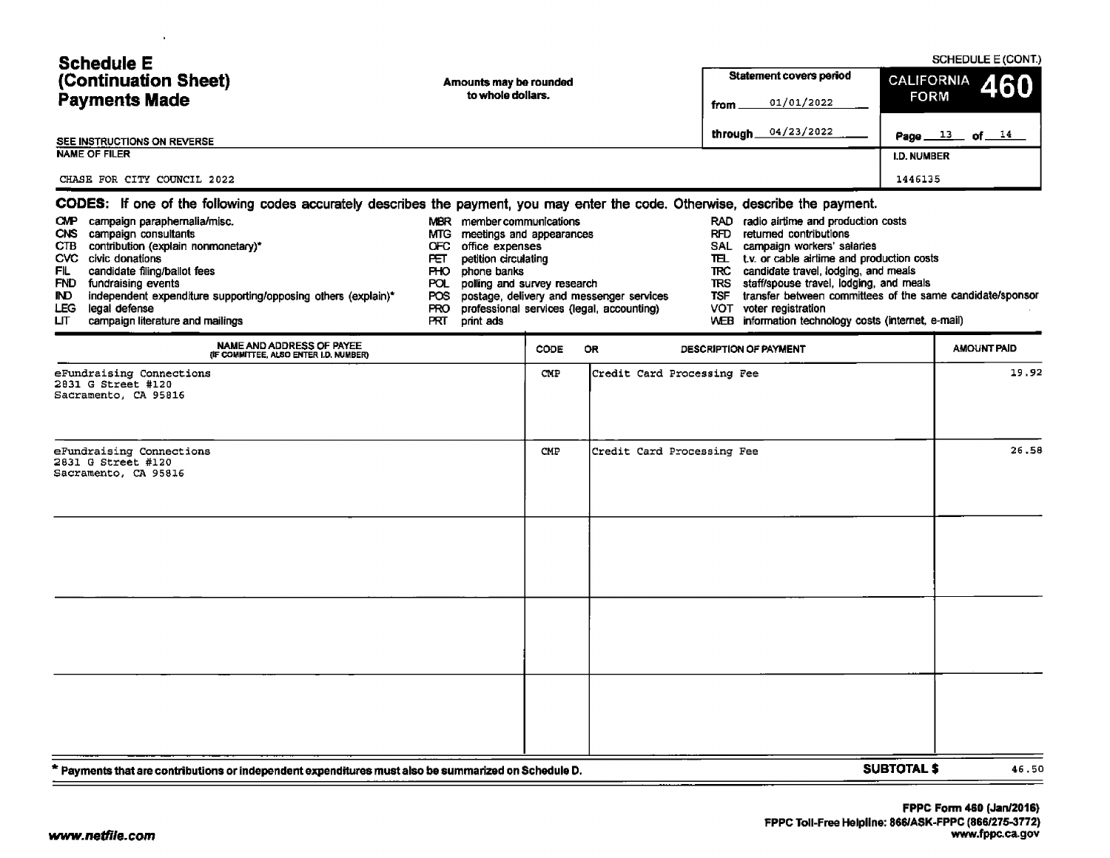| <b>Schedule E</b>                                                                                                                                                                                                                                                                                                                                     |                                                                                                                                                                                                                               |                        |                                                                                       | SCHEDULE E (CONT.)                                                                                                                                                                                                                                                                                                                                                              |                                                           |       |
|-------------------------------------------------------------------------------------------------------------------------------------------------------------------------------------------------------------------------------------------------------------------------------------------------------------------------------------------------------|-------------------------------------------------------------------------------------------------------------------------------------------------------------------------------------------------------------------------------|------------------------|---------------------------------------------------------------------------------------|---------------------------------------------------------------------------------------------------------------------------------------------------------------------------------------------------------------------------------------------------------------------------------------------------------------------------------------------------------------------------------|-----------------------------------------------------------|-------|
| (Continuation Sheet)                                                                                                                                                                                                                                                                                                                                  |                                                                                                                                                                                                                               | Amounts may be rounded |                                                                                       | <b>Statement covers period</b>                                                                                                                                                                                                                                                                                                                                                  | <b>CALIFORNIA</b><br>460                                  |       |
| <b>Payments Made</b>                                                                                                                                                                                                                                                                                                                                  | to whole dollars.                                                                                                                                                                                                             |                        |                                                                                       | 01/01/2022<br>from                                                                                                                                                                                                                                                                                                                                                              | <b>FORM</b>                                               |       |
| SEE INSTRUCTIONS ON REVERSE                                                                                                                                                                                                                                                                                                                           |                                                                                                                                                                                                                               |                        |                                                                                       | 04/23/2022<br>through.                                                                                                                                                                                                                                                                                                                                                          | Page $13$<br>of $14$                                      |       |
| <b>NAME OF FILER</b>                                                                                                                                                                                                                                                                                                                                  |                                                                                                                                                                                                                               |                        |                                                                                       |                                                                                                                                                                                                                                                                                                                                                                                 | <b>I.D. NUMBER</b>                                        |       |
| CHASE FOR CITY COUNCIL 2022                                                                                                                                                                                                                                                                                                                           |                                                                                                                                                                                                                               |                        |                                                                                       |                                                                                                                                                                                                                                                                                                                                                                                 | 1446135                                                   |       |
| CODES: If one of the following codes accurately describes the payment, you may enter the code. Otherwise, describe the payment.                                                                                                                                                                                                                       |                                                                                                                                                                                                                               |                        |                                                                                       |                                                                                                                                                                                                                                                                                                                                                                                 |                                                           |       |
| CMP campaign paraphernalia/misc.<br>CNS campaign consultants<br>contribution (explain nonmonetary)*<br><b>CTB</b><br>CVC civic donations<br>candidate filing/ballot fees<br>FIL<br>FND fundraising events<br>independent expenditure supporting/opposing others (explain)*<br>IND.<br>LEG.<br>legal defense<br>LГ<br>campaign literature and mailings | member communications<br>MBR<br>MTG.<br>meetings and appearances<br>office expenses<br>OFC.<br>petition circulating<br>PET.<br>PHO.<br>phone banks<br>polling and survey research<br>POL.<br>POS.<br>PRO.<br>PRT<br>print ads |                        | postage, delivery and messenger services<br>professional services (legal, accounting) | RAD radio airtime and production costs<br>RFD returned contributions<br>SAL campaign workers' salaries<br>t.v. or cable airtime and production costs<br>℡<br>candidate travel, lodging, and meals<br><b>TRC</b><br>staff/spouse travel, lodging, and meals<br><b>TRS</b><br><b>TSF</b><br>voter registration<br>VOT.<br>information technology costs (internet, e-mail)<br>WEB. | transfer between committees of the same candidate/sponsor |       |
| NAME AND ADDRESS OF PAYEE<br>(IF COMMITTEE, ALSO ENTER I.D. NUMBER)                                                                                                                                                                                                                                                                                   |                                                                                                                                                                                                                               | <b>CODE</b>            | <b>OR</b>                                                                             | DESCRIPTION OF PAYMENT                                                                                                                                                                                                                                                                                                                                                          | <b>AMOUNT PAID</b>                                        |       |
| eFundraising Connections<br>2831 G Street #120<br>Sacramento, CA 95816<br>eFundraising Connections<br>2831 G Street #120                                                                                                                                                                                                                              |                                                                                                                                                                                                                               | CMP.<br>CMP            | Credit Card Processing Fee<br>Credit Card Processing Fee                              |                                                                                                                                                                                                                                                                                                                                                                                 | 19.92<br>26.58                                            |       |
| Sacramento, CA 95816<br>Payments that are contributions or independent expenditures must also be summarized on Schedule D. *                                                                                                                                                                                                                          |                                                                                                                                                                                                                               |                        |                                                                                       |                                                                                                                                                                                                                                                                                                                                                                                 | <b>SUBTOTAL \$</b>                                        | 46.50 |

 $\mathbf{r}$